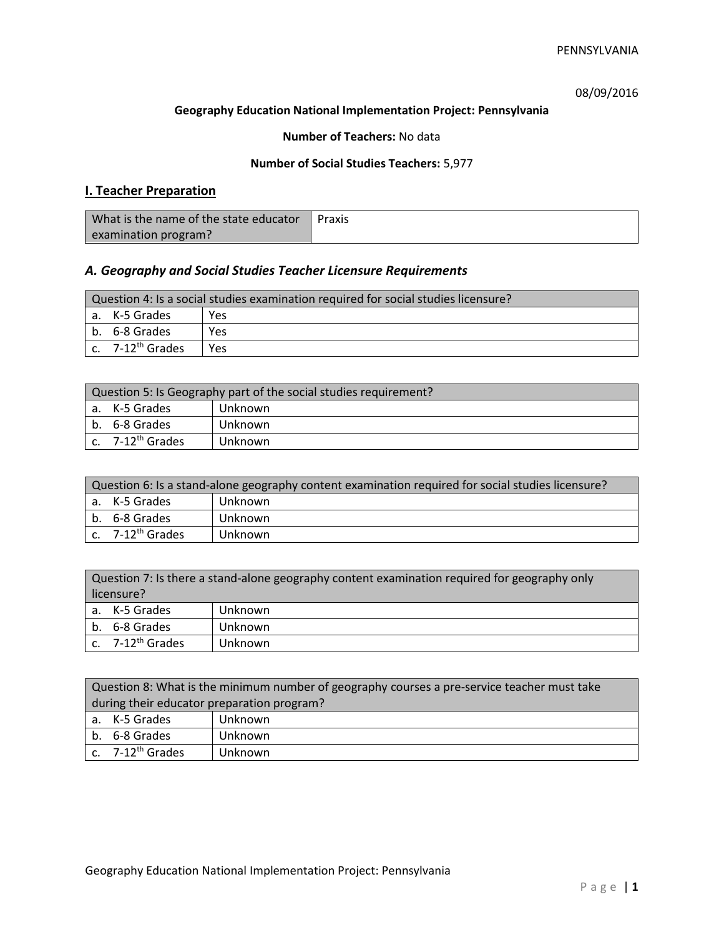08/09/2016

### **Geography Education National Implementation Project: Pennsylvania**

## **Number of Teachers:** No data

## **Number of Social Studies Teachers:** 5,977

## **I. Teacher Preparation**

| What is the name of the state educator | Praxis |
|----------------------------------------|--------|
| examination program?                   |        |

## *A. Geography and Social Studies Teacher Licensure Requirements*

| Question 4: Is a social studies examination required for social studies licensure? |                              |     |
|------------------------------------------------------------------------------------|------------------------------|-----|
|                                                                                    | a. K-5 Grades                | Yes |
|                                                                                    | b. 6-8 Grades                | Yes |
|                                                                                    | c. 7-12 <sup>th</sup> Grades | Yes |

| Question 5: Is Geography part of the social studies requirement? |                                |         |
|------------------------------------------------------------------|--------------------------------|---------|
|                                                                  | l a. K-5 Grades                | Unknown |
|                                                                  | b. 6-8 Grades                  | Unknown |
|                                                                  | $c.$ 7-12 <sup>th</sup> Grades | Unknown |

| Question 6: Is a stand-alone geography content examination required for social studies licensure? |                              |         |  |
|---------------------------------------------------------------------------------------------------|------------------------------|---------|--|
|                                                                                                   | a. K-5 Grades                | Unknown |  |
|                                                                                                   | b. 6-8 Grades                | Unknown |  |
|                                                                                                   | c. 7-12 <sup>th</sup> Grades | Unknown |  |

| Question 7: Is there a stand-alone geography content examination required for geography only<br>licensure? |                       |         |
|------------------------------------------------------------------------------------------------------------|-----------------------|---------|
|                                                                                                            | a. K-5 Grades         | Unknown |
|                                                                                                            | b. 6-8 Grades         | Unknown |
|                                                                                                            | c. $7-12^{th}$ Grades | Unknown |

|                                            | Question 8: What is the minimum number of geography courses a pre-service teacher must take |         |  |
|--------------------------------------------|---------------------------------------------------------------------------------------------|---------|--|
| during their educator preparation program? |                                                                                             |         |  |
|                                            | a. K-5 Grades                                                                               | Unknown |  |
|                                            | b. 6-8 Grades                                                                               | Unknown |  |
|                                            | c. 7-12 <sup>th</sup> Grades                                                                | Unknown |  |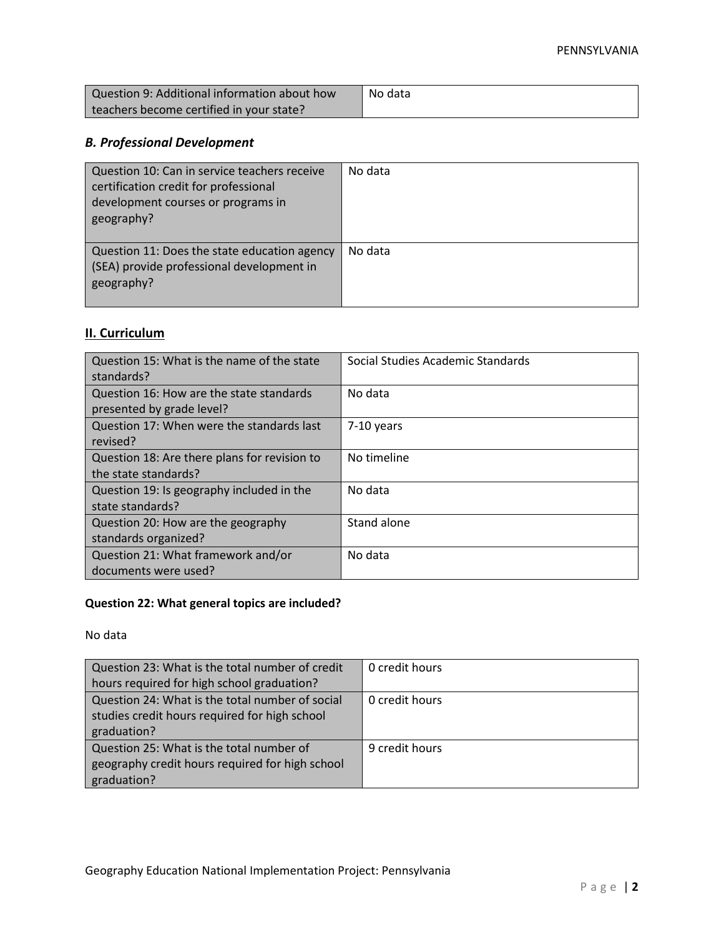| Question 9: Additional information about how | No data |
|----------------------------------------------|---------|
| teachers become certified in your state?     |         |

# *B. Professional Development*

| Question 10: Can in service teachers receive<br>certification credit for professional<br>development courses or programs in<br>geography? | No data |
|-------------------------------------------------------------------------------------------------------------------------------------------|---------|
| Question 11: Does the state education agency<br>(SEA) provide professional development in<br>geography?                                   | No data |

# **II. Curriculum**

| Question 15: What is the name of the state<br>standards?              | Social Studies Academic Standards |
|-----------------------------------------------------------------------|-----------------------------------|
| Question 16: How are the state standards<br>presented by grade level? | No data                           |
| Question 17: When were the standards last<br>revised?                 | 7-10 years                        |
| Question 18: Are there plans for revision to<br>the state standards?  | No timeline                       |
| Question 19: Is geography included in the<br>state standards?         | No data                           |
| Question 20: How are the geography<br>standards organized?            | Stand alone                       |
| Question 21: What framework and/or<br>documents were used?            | No data                           |

# **Question 22: What general topics are included?**

No data

| Question 23: What is the total number of credit | 0 credit hours |
|-------------------------------------------------|----------------|
| hours required for high school graduation?      |                |
| Question 24: What is the total number of social | 0 credit hours |
| studies credit hours required for high school   |                |
| graduation?                                     |                |
| Question 25: What is the total number of        | 9 credit hours |
| geography credit hours required for high school |                |
| graduation?                                     |                |